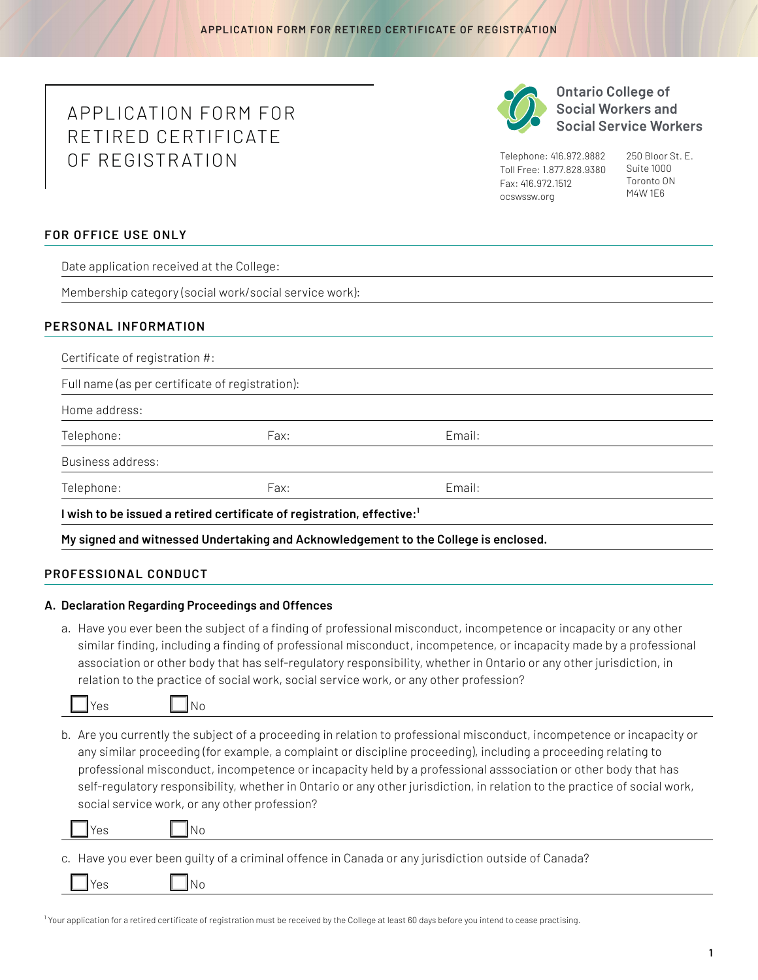# APPLICATION FORM FOR RETIRED CERTIFICATE OF REGISTR ATION



**Ontario College of Social Workers and Social Service Workers** 

Telephone: 416.972.9882 Toll Free: 1.877.828.9380 Fax: 416.972.1512 [ocswssw.org](http://ocswssw.org)

250 Bloor St. E. Suite 1000 Toronto ON M4W 1E6

## **FOR OFFICE USE ONLY**

Date application received at the College:

Membership category (social work/social service work):

## **PERSONAL INFORMATION**

| Full name (as per certificate of registration): |      |        |  |
|-------------------------------------------------|------|--------|--|
| Home address:                                   |      |        |  |
| Telephone:                                      | Fax: | Email: |  |
| Business address:                               |      |        |  |
| Telephone:                                      | Fax: | Email: |  |

**My signed and witnessed Undertaking and Acknowledgement to the College is enclosed.**

#### **PROFESSIONAL CONDUCT**

#### **A. Declaration Regarding Proceedings and Offences**

a. Have you ever been the subject of a finding of professional misconduct, incompetence or incapacity or any other similar finding, including a finding of professional misconduct, incompetence, or incapacity made by a professional association or other body that has self-regulatory responsibility, whether in Ontario or any other jurisdiction, in relation to the practice of social work, social service work, or any other profession?



b. Are you currently the subject of a proceeding in relation to professional misconduct, incompetence or incapacity or any similar proceeding (for example, a complaint or discipline proceeding), including a proceeding relating to professional misconduct, incompetence or incapacity held by a professional asssociation or other body that has self-regulatory responsibility, whether in Ontario or any other jurisdiction, in relation to the practice of social work, social service work, or any other profession?

s INo

c. Have you ever been guilty of a criminal offence in Canada or any jurisdiction outside of Canada?

<sup>1</sup> Your application for a retired certificate of registration must be received by the College at least 60 days before you intend to cease practising.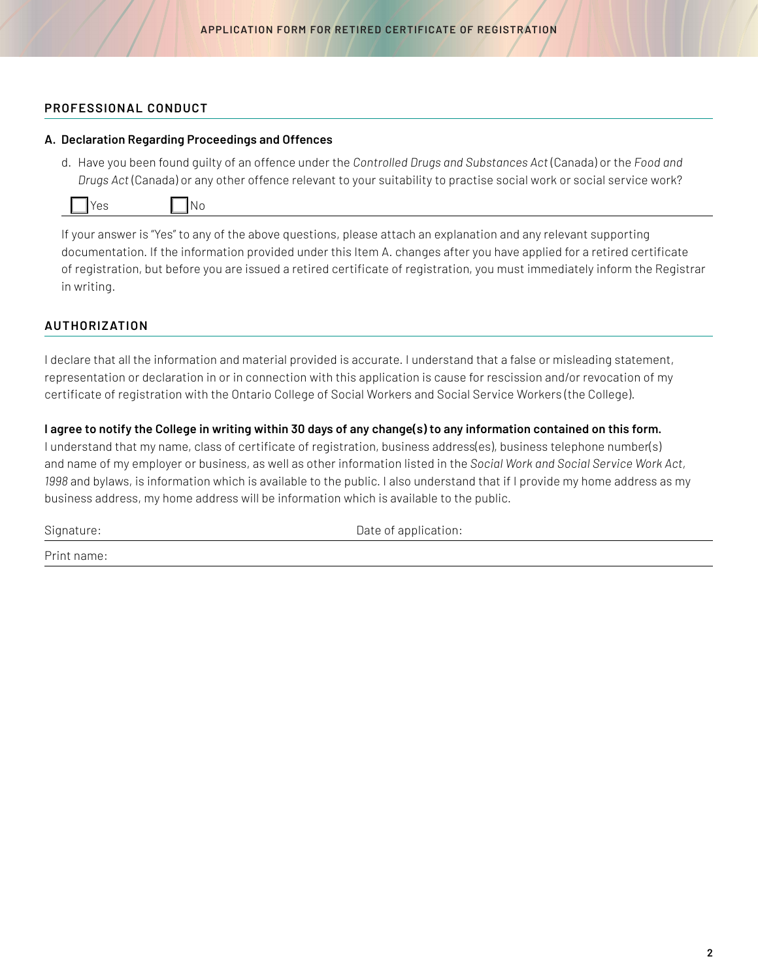## **PROFESSIONAL CONDUCT**

#### **A. Declaration Regarding Proceedings and Offences**

d. Have you been found guilty of an offence under the *Controlled Drugs and Substances Act* (Canada) or the *Food and Drugs Act* (Canada) or any other offence relevant to your suitability to practise social work or social service work?

|--|--|

No.

If your answer is "Yes" to any of the above questions, please attach an explanation and any relevant supporting documentation. If the information provided under this Item A. changes after you have applied for a retired certificate of registration, but before you are issued a retired certificate of registration, you must immediately inform the Registrar in writing.

# **AUTHORIZATION**

I declare that all the information and material provided is accurate. I understand that a false or misleading statement, representation or declaration in or in connection with this application is cause for rescission and/or revocation of my certificate of registration with the Ontario College of Social Workers and Social Service Workers (the College).

# **I agree to notify the College in writing within 30 days of any change(s) to any information contained on this form.**

I understand that my name, class of certificate of registration, business address(es), business telephone number(s) and name of my employer or business, as well as other information listed in the *Social Work and Social Service Work Act, 1998* and bylaws, is information which is available to the public. I also understand that if I provide my home address as my business address, my home address will be information which is available to the public.

Signature:  $\Box$ 

Print name: